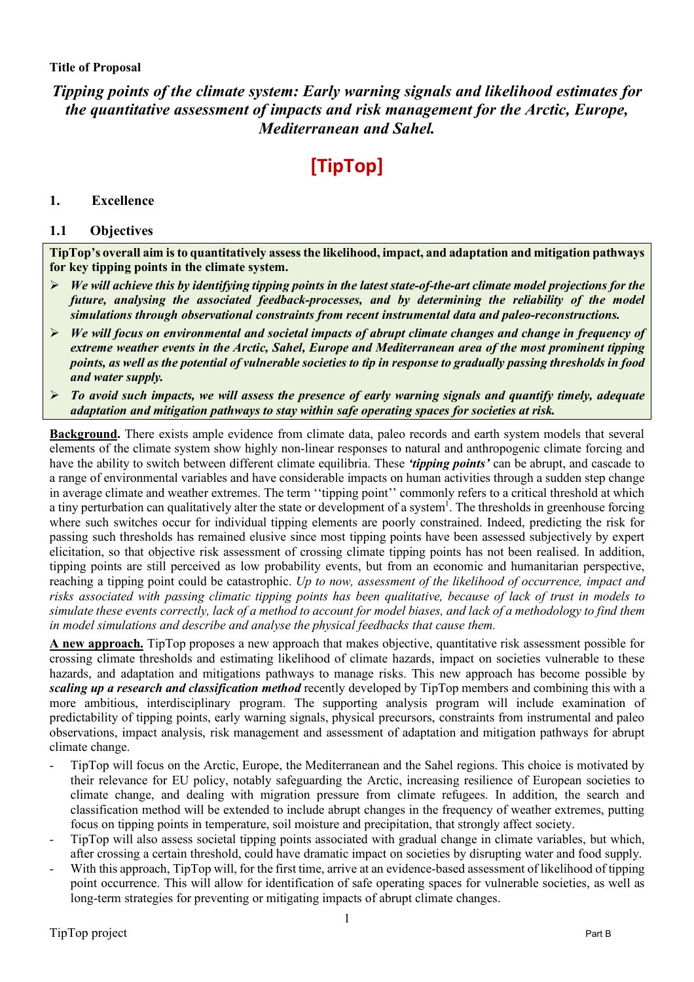# **Title of Proposal**

# *Tipping points of the climate system: Early warning signals and likelihood estimates for the quantitative assessment of impacts and risk management for the Arctic, Europe, Mediterranean and Sahel.*

# **[TipTop]**

# **1. Excellence**

# **1.1 Objectives**

**TipTop's overall aim is to quantitatively assess the likelihood, impact, and adaptation and mitigation pathways for key tipping points in the climate system.**

- Ø *We will achieve this by identifying tipping points in the latest state-of-the-art climate model projections for the future, analysing the associated feedback-processes, and by determining the reliability of the model simulations through observational constraints from recent instrumental data and paleo-reconstructions.*
- Ø *We will focus on environmental and societal impacts of abrupt climate changes and change in frequency of extreme weather events in the Arctic, Sahel, Europe and Mediterranean area of the most prominent tipping points, as well as the potential of vulnerable societies to tip in response to gradually passing thresholds in food and water supply.*
- Ø *To avoid such impacts, we will assess the presence of early warning signals and quantify timely, adequate adaptation and mitigation pathways to stay within safe operating spaces for societies at risk.*

**Background.** There exists ample evidence from climate data, paleo records and earth system models that several elements of the climate system show highly non-linear responses to natural and anthropogenic climate forcing and have the ability to switch between different climate equilibria. These *'tipping points'* can be abrupt, and cascade to a range of environmental variables and have considerable impacts on human activities through a sudden step change in average climate and weather extremes. The term ''tipping point'' commonly refers to a critical threshold at which a tiny perturbation can qualitatively alter the state or development of a system<sup>1</sup>. The thresholds in greenhouse forcing where such switches occur for individual tipping elements are poorly constrained. Indeed, predicting the risk for passing such thresholds has remained elusive since most tipping points have been assessed subjectively by expert elicitation, so that objective risk assessment of crossing climate tipping points has not been realised. In addition, tipping points are still perceived as low probability events, but from an economic and humanitarian perspective, reaching a tipping point could be catastrophic. *Up to now, assessment of the likelihood of occurrence, impact and risks associated with passing climatic tipping points has been qualitative, because of lack of trust in models to simulate these events correctly, lack of a method to account for model biases, and lack of a methodology to find them in model simulations and describe and analyse the physical feedbacks that cause them.*

**A new approach.** TipTop proposes a new approach that makes objective, quantitative risk assessment possible for crossing climate thresholds and estimating likelihood of climate hazards, impact on societies vulnerable to these hazards, and adaptation and mitigations pathways to manage risks. This new approach has become possible by *scaling up a research and classification method* recently developed by TipTop members and combining this with a more ambitious, interdisciplinary program. The supporting analysis program will include examination of predictability of tipping points, early warning signals, physical precursors, constraints from instrumental and paleo observations, impact analysis, risk management and assessment of adaptation and mitigation pathways for abrupt climate change.

- TipTop will focus on the Arctic, Europe, the Mediterranean and the Sahel regions. This choice is motivated by their relevance for EU policy, notably safeguarding the Arctic, increasing resilience of European societies to climate change, and dealing with migration pressure from climate refugees. In addition, the search and classification method will be extended to include abrupt changes in the frequency of weather extremes, putting focus on tipping points in temperature, soil moisture and precipitation, that strongly affect society.
- TipTop will also assess societal tipping points associated with gradual change in climate variables, but which, after crossing a certain threshold, could have dramatic impact on societies by disrupting water and food supply.
- With this approach, TipTop will, for the first time, arrive at an evidence-based assessment of likelihood of tipping point occurrence. This will allow for identification of safe operating spaces for vulnerable societies, as well as long-term strategies for preventing or mitigating impacts of abrupt climate changes.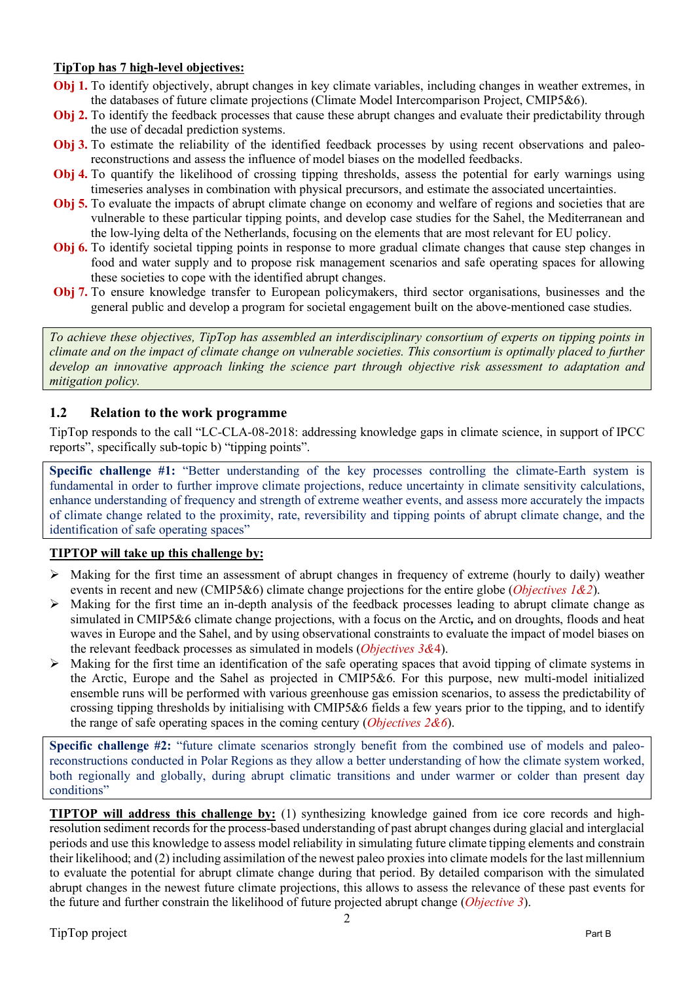# **TipTop has 7 high-level objectives:**

- **Obj 1.** To identify objectively, abrupt changes in key climate variables, including changes in weather extremes, in the databases of future climate projections (Climate Model Intercomparison Project, CMIP5&6).
- **Obj 2.** To identify the feedback processes that cause these abrupt changes and evaluate their predictability through the use of decadal prediction systems.
- **Obj 3.** To estimate the reliability of the identified feedback processes by using recent observations and paleoreconstructions and assess the influence of model biases on the modelled feedbacks.
- **Obj 4.** To quantify the likelihood of crossing tipping thresholds, assess the potential for early warnings using timeseries analyses in combination with physical precursors, and estimate the associated uncertainties.
- **Obj 5.** To evaluate the impacts of abrupt climate change on economy and welfare of regions and societies that are vulnerable to these particular tipping points, and develop case studies for the Sahel, the Mediterranean and the low-lying delta of the Netherlands, focusing on the elements that are most relevant for EU policy.
- **Obj 6.** To identify societal tipping points in response to more gradual climate changes that cause step changes in food and water supply and to propose risk management scenarios and safe operating spaces for allowing these societies to cope with the identified abrupt changes.
- **Obj 7.** To ensure knowledge transfer to European policymakers, third sector organisations, businesses and the general public and develop a program for societal engagement built on the above-mentioned case studies.

*To achieve these objectives, TipTop has assembled an interdisciplinary consortium of experts on tipping points in climate and on the impact of climate change on vulnerable societies. This consortium is optimally placed to further develop an innovative approach linking the science part through objective risk assessment to adaptation and mitigation policy.*

# **1.2 Relation to the work programme**

TipTop responds to the call "LC-CLA-08-2018: addressing knowledge gaps in climate science, in support of IPCC reports", specifically sub-topic b) "tipping points".

**Specific challenge #1:** "Better understanding of the key processes controlling the climate-Earth system is fundamental in order to further improve climate projections, reduce uncertainty in climate sensitivity calculations, enhance understanding of frequency and strength of extreme weather events, and assess more accurately the impacts of climate change related to the proximity, rate, reversibility and tipping points of abrupt climate change, and the identification of safe operating spaces"

# **TIPTOP will take up this challenge by:**

- $\triangleright$  Making for the first time an assessment of abrupt changes in frequency of extreme (hourly to daily) weather events in recent and new (CMIP5&6) climate change projections for the entire globe (*Objectives 1&2*).
- Ø Making for the first time an in-depth analysis of the feedback processes leading to abrupt climate change as simulated in CMIP5&6 climate change projections, with a focus on the Arctic*,* and on droughts, floods and heat waves in Europe and the Sahel, and by using observational constraints to evaluate the impact of model biases on the relevant feedback processes as simulated in models (*Objectives 3&*4).
- $\triangleright$  Making for the first time an identification of the safe operating spaces that avoid tipping of climate systems in the Arctic, Europe and the Sahel as projected in CMIP5&6. For this purpose, new multi-model initialized ensemble runs will be performed with various greenhouse gas emission scenarios, to assess the predictability of crossing tipping thresholds by initialising with CMIP5&6 fields a few years prior to the tipping, and to identify the range of safe operating spaces in the coming century (*Objectives 2&6*).

**Specific challenge #2:** "future climate scenarios strongly benefit from the combined use of models and paleoreconstructions conducted in Polar Regions as they allow a better understanding of how the climate system worked, both regionally and globally, during abrupt climatic transitions and under warmer or colder than present day conditions"

**TIPTOP will address this challenge by:** (1) synthesizing knowledge gained from ice core records and highresolution sediment records for the process-based understanding of past abrupt changes during glacial and interglacial periods and use this knowledge to assess model reliability in simulating future climate tipping elements and constrain their likelihood; and (2) including assimilation of the newest paleo proxies into climate models for the last millennium to evaluate the potential for abrupt climate change during that period. By detailed comparison with the simulated abrupt changes in the newest future climate projections, this allows to assess the relevance of these past events for the future and further constrain the likelihood of future projected abrupt change (*Objective 3*).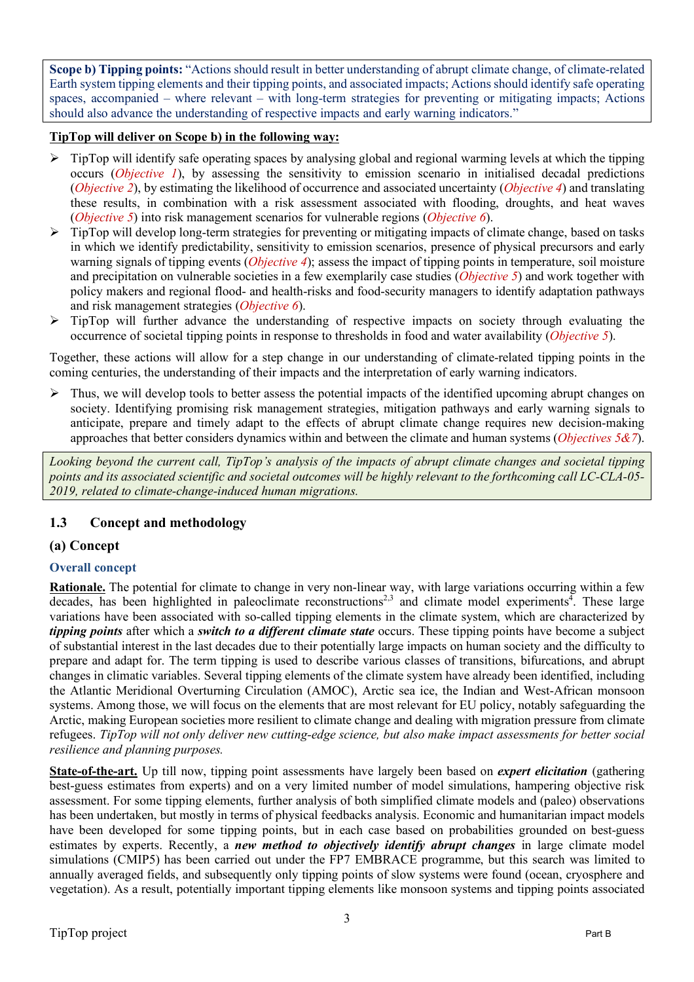**Scope b) Tipping points:** "Actions should result in better understanding of abrupt climate change, of climate-related Earth system tipping elements and their tipping points, and associated impacts; Actions should identify safe operating spaces, accompanied – where relevant – with long-term strategies for preventing or mitigating impacts; Actions should also advance the understanding of respective impacts and early warning indicators."

# **TipTop will deliver on Scope b) in the following way:**

- $\triangleright$  TipTop will identify safe operating spaces by analysing global and regional warming levels at which the tipping occurs (*Objective 1*), by assessing the sensitivity to emission scenario in initialised decadal predictions (*Objective 2*), by estimating the likelihood of occurrence and associated uncertainty (*Objective 4*) and translating these results, in combination with a risk assessment associated with flooding, droughts, and heat waves (*Objective 5*) into risk management scenarios for vulnerable regions (*Objective 6*).
- $\triangleright$  TipTop will develop long-term strategies for preventing or mitigating impacts of climate change, based on tasks in which we identify predictability, sensitivity to emission scenarios, presence of physical precursors and early warning signals of tipping events (*Objective 4*); assess the impact of tipping points in temperature, soil moisture and precipitation on vulnerable societies in a few exemplarily case studies (*Objective 5*) and work together with policy makers and regional flood- and health-risks and food-security managers to identify adaptation pathways and risk management strategies (*Objective 6*).
- $\triangleright$  TipTop will further advance the understanding of respective impacts on society through evaluating the occurrence of societal tipping points in response to thresholds in food and water availability (*Objective 5*).

Together, these actions will allow for a step change in our understanding of climate-related tipping points in the coming centuries, the understanding of their impacts and the interpretation of early warning indicators.

 $\triangleright$  Thus, we will develop tools to better assess the potential impacts of the identified upcoming abrupt changes on society. Identifying promising risk management strategies, mitigation pathways and early warning signals to anticipate, prepare and timely adapt to the effects of abrupt climate change requires new decision-making approaches that better considers dynamics within and between the climate and human systems (*Objectives 5&7*).

*Looking beyond the current call, TipTop's analysis of the impacts of abrupt climate changes and societal tipping points and its associated scientific and societal outcomes will be highly relevant to the forthcoming call LC-CLA-05- 2019, related to climate-change-induced human migrations.*

# **1.3 Concept and methodology**

# **(a) Concept**

# **Overall concept**

**Rationale.** The potential for climate to change in very non-linear way, with large variations occurring within a few decades, has been highlighted in paleoclimate reconstructions<sup>2,3</sup> and climate model experiments<sup>4</sup>. These large variations have been associated with so-called tipping elements in the climate system, which are characterized by *tipping points* after which a *switch to a different climate state* occurs. These tipping points have become a subject of substantial interest in the last decades due to their potentially large impacts on human society and the difficulty to prepare and adapt for. The term tipping is used to describe various classes of transitions, bifurcations, and abrupt changes in climatic variables. Several tipping elements of the climate system have already been identified, including the Atlantic Meridional Overturning Circulation (AMOC), Arctic sea ice, the Indian and West-African monsoon systems. Among those, we will focus on the elements that are most relevant for EU policy, notably safeguarding the Arctic, making European societies more resilient to climate change and dealing with migration pressure from climate refugees. *TipTop will not only deliver new cutting-edge science, but also make impact assessments for better social resilience and planning purposes.*

**State-of-the-art.** Up till now, tipping point assessments have largely been based on *expert elicitation* (gathering best-guess estimates from experts) and on a very limited number of model simulations, hampering objective risk assessment. For some tipping elements, further analysis of both simplified climate models and (paleo) observations has been undertaken, but mostly in terms of physical feedbacks analysis. Economic and humanitarian impact models have been developed for some tipping points, but in each case based on probabilities grounded on best-guess estimates by experts. Recently, a *new method to objectively identify abrupt changes* in large climate model simulations (CMIP5) has been carried out under the FP7 EMBRACE programme, but this search was limited to annually averaged fields, and subsequently only tipping points of slow systems were found (ocean, cryosphere and vegetation). As a result, potentially important tipping elements like monsoon systems and tipping points associated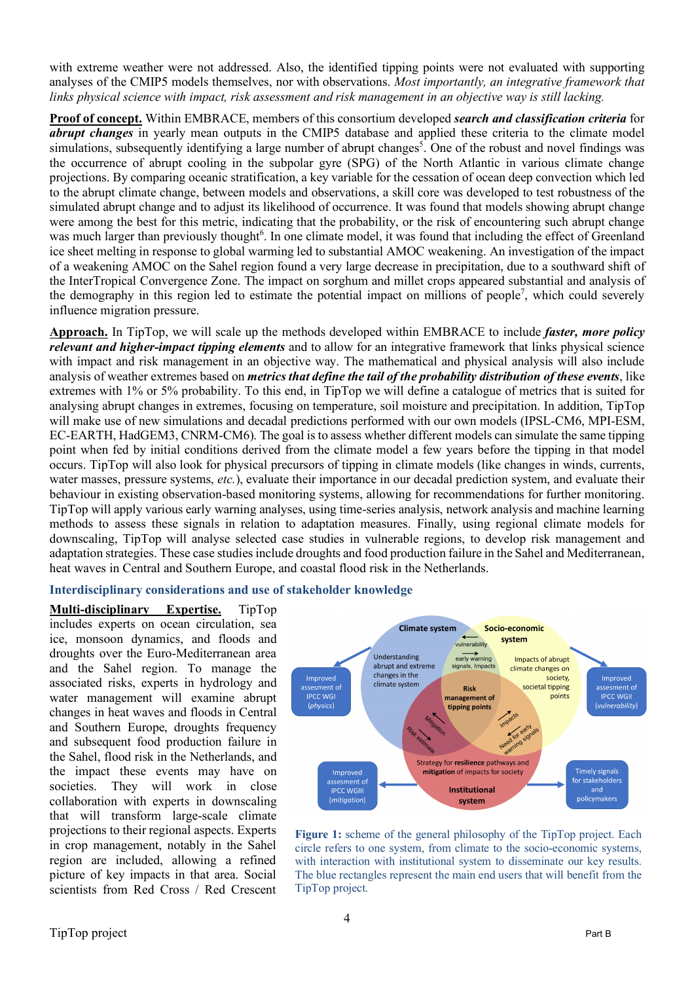with extreme weather were not addressed. Also, the identified tipping points were not evaluated with supporting analyses of the CMIP5 models themselves, nor with observations. *Most importantly, an integrative framework that links physical science with impact, risk assessment and risk management in an objective way is still lacking.*

**Proof of concept.** Within EMBRACE, members of this consortium developed *search and classification criteria* for *abrupt changes* in yearly mean outputs in the CMIP5 database and applied these criteria to the climate model simulations, subsequently identifying a large number of abrupt changes<sup>5</sup>. One of the robust and novel findings was the occurrence of abrupt cooling in the subpolar gyre (SPG) of the North Atlantic in various climate change projections. By comparing oceanic stratification, a key variable for the cessation of ocean deep convection which led to the abrupt climate change, between models and observations, a skill core was developed to test robustness of the simulated abrupt change and to adjust its likelihood of occurrence. It was found that models showing abrupt change were among the best for this metric, indicating that the probability, or the risk of encountering such abrupt change was much larger than previously thought<sup>6</sup>. In one climate model, it was found that including the effect of Greenland ice sheet melting in response to global warming led to substantial AMOC weakening. An investigation of the impact of a weakening AMOC on the Sahel region found a very large decrease in precipitation, due to a southward shift of the InterTropical Convergence Zone. The impact on sorghum and millet crops appeared substantial and analysis of the demography in this region led to estimate the potential impact on millions of people<sup>7</sup>, which could severely influence migration pressure.

**Approach.** In TipTop, we will scale up the methods developed within EMBRACE to include *faster, more policy relevant and higher-impact tipping elements* and to allow for an integrative framework that links physical science with impact and risk management in an objective way. The mathematical and physical analysis will also include analysis of weather extremes based on *metrics that define the tail of the probability distribution of these events*, like extremes with 1% or 5% probability. To this end, in TipTop we will define a catalogue of metrics that is suited for analysing abrupt changes in extremes, focusing on temperature, soil moisture and precipitation. In addition, TipTop will make use of new simulations and decadal predictions performed with our own models (IPSL-CM6, MPI-ESM, EC-EARTH, HadGEM3, CNRM-CM6). The goal is to assess whether different models can simulate the same tipping point when fed by initial conditions derived from the climate model a few years before the tipping in that model occurs. TipTop will also look for physical precursors of tipping in climate models (like changes in winds, currents, water masses, pressure systems, *etc.*), evaluate their importance in our decadal prediction system, and evaluate their behaviour in existing observation-based monitoring systems, allowing for recommendations for further monitoring. TipTop will apply various early warning analyses, using time-series analysis, network analysis and machine learning methods to assess these signals in relation to adaptation measures. Finally, using regional climate models for downscaling, TipTop will analyse selected case studies in vulnerable regions, to develop risk management and adaptation strategies. These case studies include droughts and food production failure in the Sahel and Mediterranean, heat waves in Central and Southern Europe, and coastal flood risk in the Netherlands.

#### **Interdisciplinary considerations and use of stakeholder knowledge**

**Multi-disciplinary Expertise.** TipTop includes experts on ocean circulation, sea ice, monsoon dynamics, and floods and droughts over the Euro-Mediterranean area and the Sahel region. To manage the associated risks, experts in hydrology and water management will examine abrupt changes in heat waves and floods in Central and Southern Europe, droughts frequency and subsequent food production failure in the Sahel, flood risk in the Netherlands, and the impact these events may have on societies. They will work in close collaboration with experts in downscaling that will transform large-scale climate projections to their regional aspects. Experts in crop management, notably in the Sahel region are included, allowing a refined picture of key impacts in that area. Social scientists from Red Cross / Red Crescent



**Figure 1:** scheme of the general philosophy of the TipTop project. Each circle refers to one system, from climate to the socio-economic systems, with interaction with institutional system to disseminate our key results. The blue rectangles represent the main end users that will benefit from the TipTop project.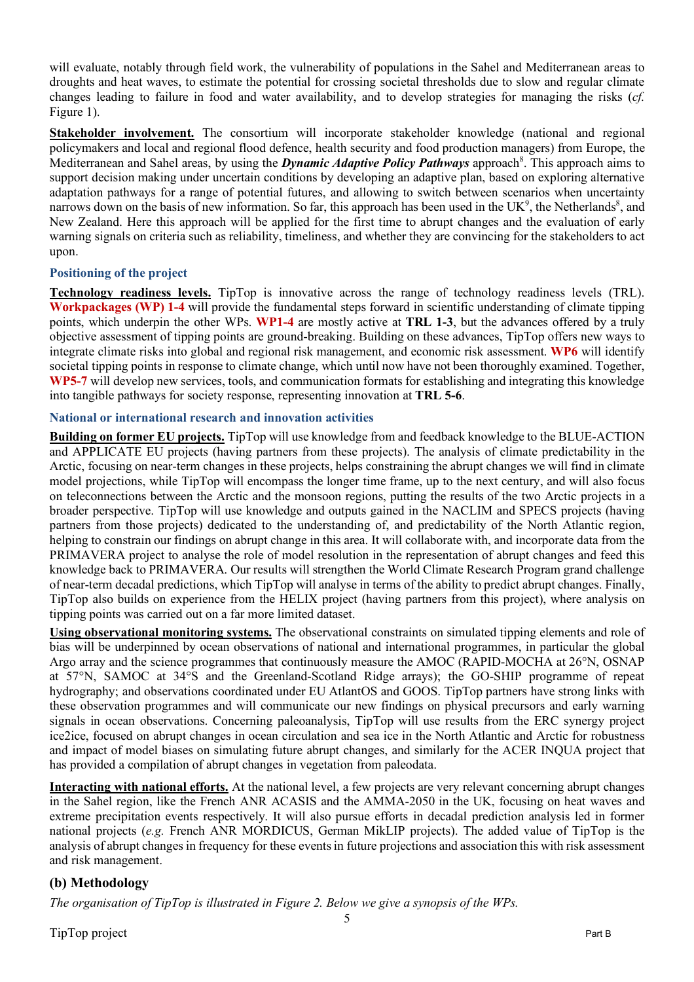will evaluate, notably through field work, the vulnerability of populations in the Sahel and Mediterranean areas to droughts and heat waves, to estimate the potential for crossing societal thresholds due to slow and regular climate changes leading to failure in food and water availability, and to develop strategies for managing the risks (*cf.* Figure 1).

**Stakeholder involvement.** The consortium will incorporate stakeholder knowledge (national and regional policymakers and local and regional flood defence, health security and food production managers) from Europe, the Mediterranean and Sahel areas, by using the *Dynamic Adaptive Policy Pathways* approach<sup>8</sup>. This approach aims to support decision making under uncertain conditions by developing an adaptive plan, based on exploring alternative adaptation pathways for a range of potential futures, and allowing to switch between scenarios when uncertainty narrows down on the basis of new information. So far, this approach has been used in the  $UK<sup>9</sup>$ , the Netherlands<sup>8</sup>, and New Zealand. Here this approach will be applied for the first time to abrupt changes and the evaluation of early warning signals on criteria such as reliability, timeliness, and whether they are convincing for the stakeholders to act upon.

# **Positioning of the project**

**Technology readiness levels.** TipTop is innovative across the range of technology readiness levels (TRL). **Workpackages (WP) 1-4** will provide the fundamental steps forward in scientific understanding of climate tipping points, which underpin the other WPs. **WP1-4** are mostly active at **TRL 1-3**, but the advances offered by a truly objective assessment of tipping points are ground-breaking. Building on these advances, TipTop offers new ways to integrate climate risks into global and regional risk management, and economic risk assessment. **WP6** will identify societal tipping points in response to climate change, which until now have not been thoroughly examined. Together, **WP5-7** will develop new services, tools, and communication formats for establishing and integrating this knowledge into tangible pathways for society response, representing innovation at **TRL 5-6**.

#### **National or international research and innovation activities**

**Building on former EU projects.** TipTop will use knowledge from and feedback knowledge to the BLUE-ACTION and APPLICATE EU projects (having partners from these projects). The analysis of climate predictability in the Arctic, focusing on near-term changes in these projects, helps constraining the abrupt changes we will find in climate model projections, while TipTop will encompass the longer time frame, up to the next century, and will also focus on teleconnections between the Arctic and the monsoon regions, putting the results of the two Arctic projects in a broader perspective. TipTop will use knowledge and outputs gained in the NACLIM and SPECS projects (having partners from those projects) dedicated to the understanding of, and predictability of the North Atlantic region, helping to constrain our findings on abrupt change in this area. It will collaborate with, and incorporate data from the PRIMAVERA project to analyse the role of model resolution in the representation of abrupt changes and feed this knowledge back to PRIMAVERA. Our results will strengthen the World Climate Research Program grand challenge of near-term decadal predictions, which TipTop will analyse in terms of the ability to predict abrupt changes. Finally, TipTop also builds on experience from the HELIX project (having partners from this project), where analysis on tipping points was carried out on a far more limited dataset.

**Using observational monitoring systems.** The observational constraints on simulated tipping elements and role of bias will be underpinned by ocean observations of national and international programmes, in particular the global Argo array and the science programmes that continuously measure the AMOC (RAPID-MOCHA at 26°N, OSNAP at 57°N, SAMOC at 34°S and the Greenland-Scotland Ridge arrays); the GO-SHIP programme of repeat hydrography; and observations coordinated under EU AtlantOS and GOOS. TipTop partners have strong links with these observation programmes and will communicate our new findings on physical precursors and early warning signals in ocean observations. Concerning paleoanalysis, TipTop will use results from the ERC synergy project ice2ice, focused on abrupt changes in ocean circulation and sea ice in the North Atlantic and Arctic for robustness and impact of model biases on simulating future abrupt changes, and similarly for the ACER INQUA project that has provided a compilation of abrupt changes in vegetation from paleodata.

**Interacting with national efforts.** At the national level, a few projects are very relevant concerning abrupt changes in the Sahel region, like the French ANR ACASIS and the AMMA-2050 in the UK, focusing on heat waves and extreme precipitation events respectively. It will also pursue efforts in decadal prediction analysis led in former national projects (*e.g.* French ANR MORDICUS, German MikLIP projects). The added value of TipTop is the analysis of abrupt changes in frequency for these events in future projections and association this with risk assessment and risk management.

# **(b) Methodology**

*The organisation of TipTop is illustrated in Figure 2. Below we give a synopsis of the WPs.*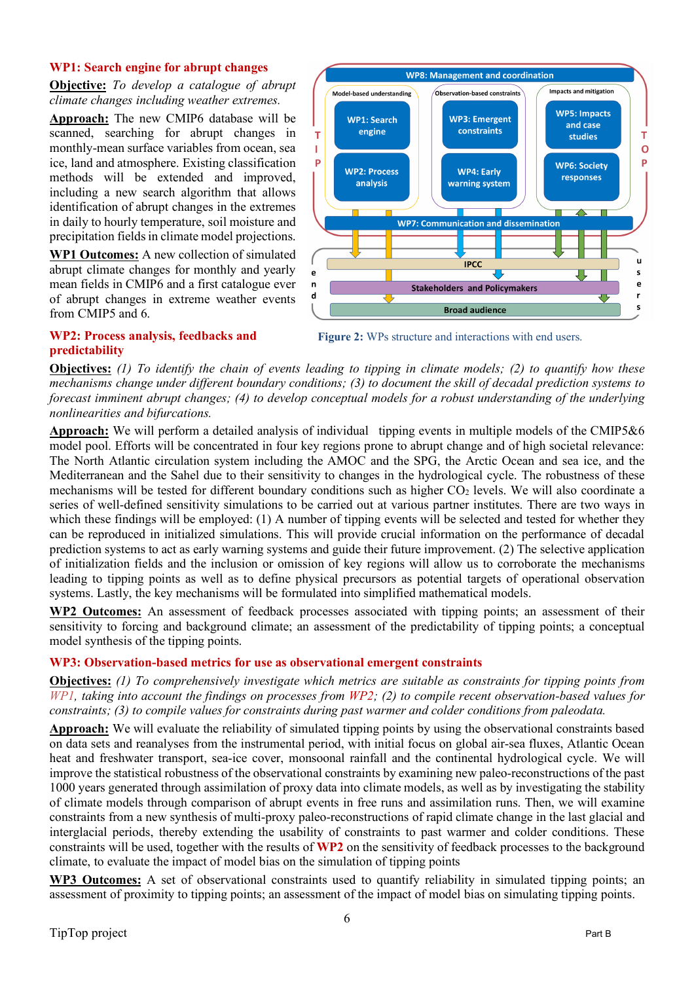#### **WP1: Search engine for abrupt changes**

**Objective:** *To develop a catalogue of abrupt climate changes including weather extremes.*

**Approach:** The new CMIP6 database will be scanned, searching for abrupt changes in monthly-mean surface variables from ocean, sea ice, land and atmosphere. Existing classification methods will be extended and improved, including a new search algorithm that allows identification of abrupt changes in the extremes in daily to hourly temperature, soil moisture and precipitation fields in climate model projections.

**WP1 Outcomes:** A new collection of simulated abrupt climate changes for monthly and yearly mean fields in CMIP6 and a first catalogue ever of abrupt changes in extreme weather events from CMIP5 and 6.



**Figure 2:** WPs structure and interactions with end users.

#### **WP2: Process analysis, feedbacks and predictability**

**Objectives:** *(1) To identify the chain of events leading to tipping in climate models; (2) to quantify how these mechanisms change under different boundary conditions; (3) to document the skill of decadal prediction systems to forecast imminent abrupt changes; (4) to develop conceptual models for a robust understanding of the underlying nonlinearities and bifurcations.*

**Approach:** We will perform a detailed analysis of individual tipping events in multiple models of the CMIP5&6 model pool. Efforts will be concentrated in four key regions prone to abrupt change and of high societal relevance: The North Atlantic circulation system including the AMOC and the SPG, the Arctic Ocean and sea ice, and the Mediterranean and the Sahel due to their sensitivity to changes in the hydrological cycle. The robustness of these mechanisms will be tested for different boundary conditions such as higher CO<sub>2</sub> levels. We will also coordinate a series of well-defined sensitivity simulations to be carried out at various partner institutes. There are two ways in which these findings will be employed: (1) A number of tipping events will be selected and tested for whether they can be reproduced in initialized simulations. This will provide crucial information on the performance of decadal prediction systems to act as early warning systems and guide their future improvement. (2) The selective application of initialization fields and the inclusion or omission of key regions will allow us to corroborate the mechanisms leading to tipping points as well as to define physical precursors as potential targets of operational observation systems. Lastly, the key mechanisms will be formulated into simplified mathematical models.

**WP2 Outcomes:** An assessment of feedback processes associated with tipping points; an assessment of their sensitivity to forcing and background climate; an assessment of the predictability of tipping points; a conceptual model synthesis of the tipping points.

# **WP3: Observation-based metrics for use as observational emergent constraints**

**Objectives:** *(1) To comprehensively investigate which metrics are suitable as constraints for tipping points from WP1, taking into account the findings on processes from WP2; (2) to compile recent observation-based values for constraints; (3) to compile values for constraints during past warmer and colder conditions from paleodata.*

**Approach:** We will evaluate the reliability of simulated tipping points by using the observational constraints based on data sets and reanalyses from the instrumental period, with initial focus on global air-sea fluxes, Atlantic Ocean heat and freshwater transport, sea-ice cover, monsoonal rainfall and the continental hydrological cycle. We will improve the statistical robustness of the observational constraints by examining new paleo-reconstructions of the past 1000 years generated through assimilation of proxy data into climate models, as well as by investigating the stability of climate models through comparison of abrupt events in free runs and assimilation runs. Then, we will examine constraints from a new synthesis of multi-proxy paleo-reconstructions of rapid climate change in the last glacial and interglacial periods, thereby extending the usability of constraints to past warmer and colder conditions. These constraints will be used, together with the results of **WP2** on the sensitivity of feedback processes to the background climate, to evaluate the impact of model bias on the simulation of tipping points

**WP3 Outcomes:** A set of observational constraints used to quantify reliability in simulated tipping points; an assessment of proximity to tipping points; an assessment of the impact of model bias on simulating tipping points.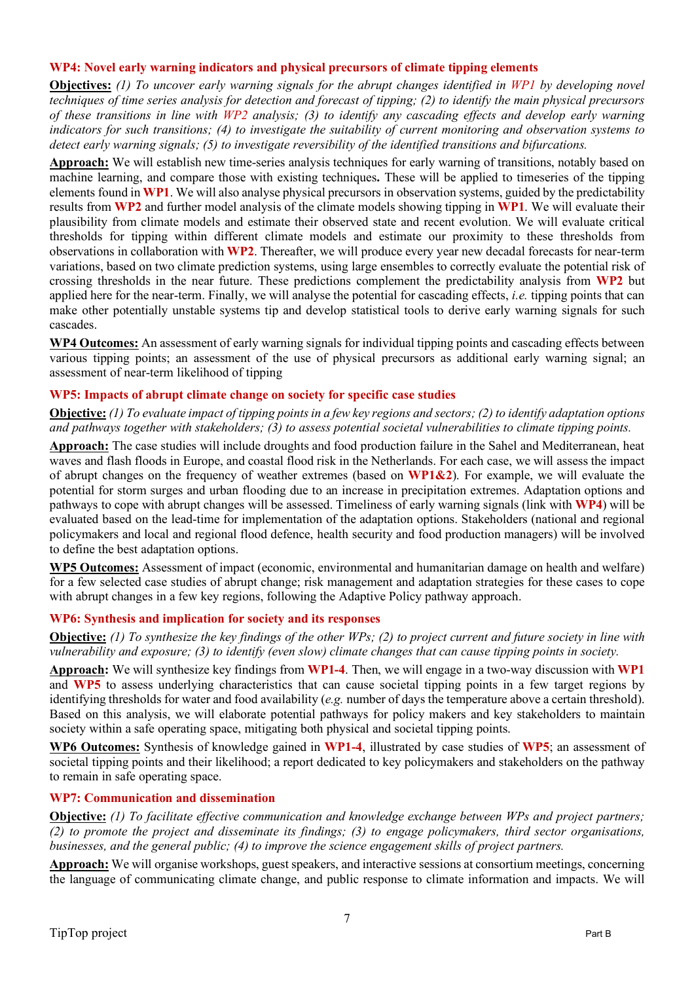#### **WP4: Novel early warning indicators and physical precursors of climate tipping elements**

**Objectives:** *(1) To uncover early warning signals for the abrupt changes identified in WP1 by developing novel techniques of time series analysis for detection and forecast of tipping; (2) to identify the main physical precursors of these transitions in line with WP2 analysis; (3) to identify any cascading effects and develop early warning indicators for such transitions; (4) to investigate the suitability of current monitoring and observation systems to detect early warning signals; (5) to investigate reversibility of the identified transitions and bifurcations.* 

**Approach:** We will establish new time-series analysis techniques for early warning of transitions, notably based on machine learning, and compare those with existing techniques**.** These will be applied to timeseries of the tipping elements found in **WP1**. We will also analyse physical precursors in observation systems, guided by the predictability results from **WP2** and further model analysis of the climate models showing tipping in **WP1**. We will evaluate their plausibility from climate models and estimate their observed state and recent evolution. We will evaluate critical thresholds for tipping within different climate models and estimate our proximity to these thresholds from observations in collaboration with **WP2**. Thereafter, we will produce every year new decadal forecasts for near-term variations, based on two climate prediction systems, using large ensembles to correctly evaluate the potential risk of crossing thresholds in the near future. These predictions complement the predictability analysis from **WP2** but applied here for the near-term. Finally, we will analyse the potential for cascading effects, *i.e.* tipping points that can make other potentially unstable systems tip and develop statistical tools to derive early warning signals for such cascades.

**WP4 Outcomes:** An assessment of early warning signals for individual tipping points and cascading effects between various tipping points; an assessment of the use of physical precursors as additional early warning signal; an assessment of near-term likelihood of tipping

#### **WP5: Impacts of abrupt climate change on society for specific case studies**

**Objective:** *(1) To evaluate impact of tipping points in a few key regions and sectors; (2) to identify adaptation options and pathways together with stakeholders; (3) to assess potential societal vulnerabilities to climate tipping points.* 

**Approach:** The case studies will include droughts and food production failure in the Sahel and Mediterranean, heat waves and flash floods in Europe, and coastal flood risk in the Netherlands. For each case, we will assess the impact of abrupt changes on the frequency of weather extremes (based on **WP1&2**). For example, we will evaluate the potential for storm surges and urban flooding due to an increase in precipitation extremes. Adaptation options and pathways to cope with abrupt changes will be assessed. Timeliness of early warning signals (link with **WP4**) will be evaluated based on the lead-time for implementation of the adaptation options. Stakeholders (national and regional policymakers and local and regional flood defence, health security and food production managers) will be involved to define the best adaptation options.

**WP5 Outcomes:** Assessment of impact (economic, environmental and humanitarian damage on health and welfare) for a few selected case studies of abrupt change; risk management and adaptation strategies for these cases to cope with abrupt changes in a few key regions, following the Adaptive Policy pathway approach.

# **WP6: Synthesis and implication for society and its responses**

**Objective:** *(1) To synthesize the key findings of the other WPs; (2) to project current and future society in line with vulnerability and exposure; (3) to identify (even slow) climate changes that can cause tipping points in society.* 

**Approach:** We will synthesize key findings from **WP1-4**. Then, we will engage in a two-way discussion with **WP1** and **WP5** to assess underlying characteristics that can cause societal tipping points in a few target regions by identifying thresholds for water and food availability (*e.g.* number of days the temperature above a certain threshold). Based on this analysis, we will elaborate potential pathways for policy makers and key stakeholders to maintain society within a safe operating space, mitigating both physical and societal tipping points.

**WP6 Outcomes:** Synthesis of knowledge gained in **WP1-4**, illustrated by case studies of **WP5**; an assessment of societal tipping points and their likelihood; a report dedicated to key policymakers and stakeholders on the pathway to remain in safe operating space.

#### **WP7: Communication and dissemination**

**Objective:** *(1) To facilitate effective communication and knowledge exchange between WPs and project partners; (2) to promote the project and disseminate its findings; (3) to engage policymakers, third sector organisations, businesses, and the general public; (4) to improve the science engagement skills of project partners.*

**Approach:** We will organise workshops, guest speakers, and interactive sessions at consortium meetings, concerning the language of communicating climate change, and public response to climate information and impacts. We will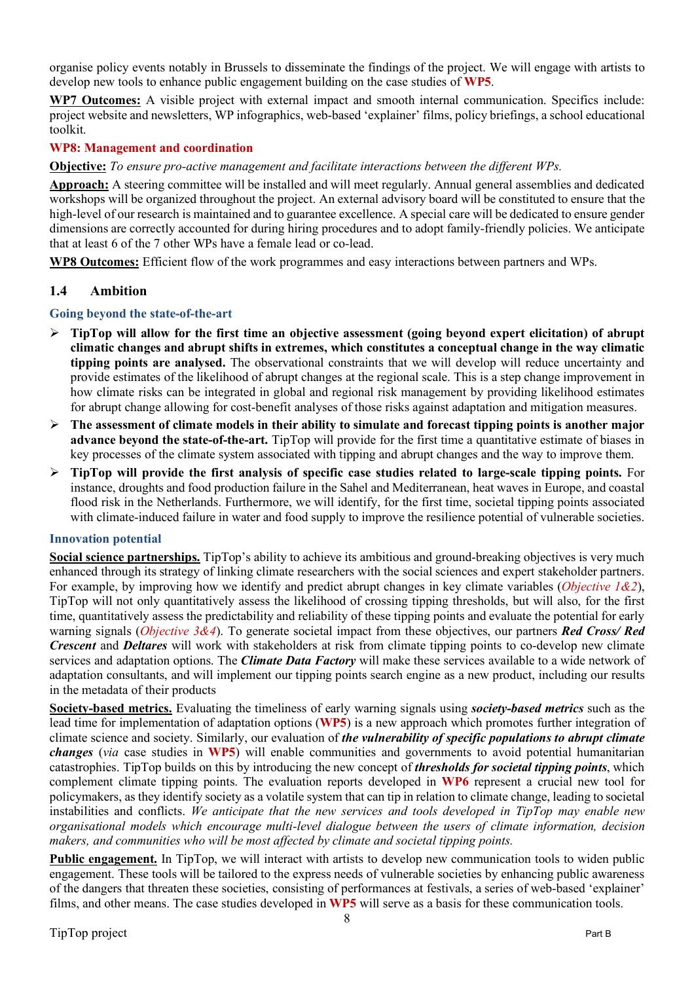organise policy events notably in Brussels to disseminate the findings of the project. We will engage with artists to develop new tools to enhance public engagement building on the case studies of **WP5**.

**WP7 Outcomes:** A visible project with external impact and smooth internal communication. Specifics include: project website and newsletters, WP infographics, web-based 'explainer' films, policy briefings, a school educational toolkit.

#### **WP8: Management and coordination**

#### **Objective:** *To ensure pro-active management and facilitate interactions between the different WPs.*

**Approach:** A steering committee will be installed and will meet regularly. Annual general assemblies and dedicated workshops will be organized throughout the project. An external advisory board will be constituted to ensure that the high-level of our research is maintained and to guarantee excellence. A special care will be dedicated to ensure gender dimensions are correctly accounted for during hiring procedures and to adopt family-friendly policies. We anticipate that at least 6 of the 7 other WPs have a female lead or co-lead.

**WP8 Outcomes:** Efficient flow of the work programmes and easy interactions between partners and WPs.

#### **1.4 Ambition**

#### **Going beyond the state-of-the-art**

- Ø **TipTop will allow for the first time an objective assessment (going beyond expert elicitation) of abrupt climatic changes and abrupt shifts in extremes, which constitutes a conceptual change in the way climatic tipping points are analysed.** The observational constraints that we will develop will reduce uncertainty and provide estimates of the likelihood of abrupt changes at the regional scale. This is a step change improvement in how climate risks can be integrated in global and regional risk management by providing likelihood estimates for abrupt change allowing for cost-benefit analyses of those risks against adaptation and mitigation measures.
- Ø **The assessment of climate models in their ability to simulate and forecast tipping points is another major advance beyond the state-of-the-art.** TipTop will provide for the first time a quantitative estimate of biases in key processes of the climate system associated with tipping and abrupt changes and the way to improve them.
- Ø **TipTop will provide the first analysis of specific case studies related to large-scale tipping points.** For instance, droughts and food production failure in the Sahel and Mediterranean, heat waves in Europe, and coastal flood risk in the Netherlands. Furthermore, we will identify, for the first time, societal tipping points associated with climate-induced failure in water and food supply to improve the resilience potential of vulnerable societies.

#### **Innovation potential**

**Social science partnerships.** TipTop's ability to achieve its ambitious and ground-breaking objectives is very much enhanced through its strategy of linking climate researchers with the social sciences and expert stakeholder partners. For example, by improving how we identify and predict abrupt changes in key climate variables (*Objective 1&2*), TipTop will not only quantitatively assess the likelihood of crossing tipping thresholds, but will also, for the first time, quantitatively assess the predictability and reliability of these tipping points and evaluate the potential for early warning signals (*Objective 3&4*). To generate societal impact from these objectives, our partners *Red Cross/ Red Crescent* and *Deltares* will work with stakeholders at risk from climate tipping points to co-develop new climate services and adaptation options. The *Climate Data Factory* will make these services available to a wide network of adaptation consultants, and will implement our tipping points search engine as a new product, including our results in the metadata of their products

**Society-based metrics.** Evaluating the timeliness of early warning signals using *society-based metrics* such as the lead time for implementation of adaptation options (**WP5**) is a new approach which promotes further integration of climate science and society. Similarly, our evaluation of *the vulnerability of specific populations to abrupt climate changes* (*via* case studies in **WP5**) will enable communities and governments to avoid potential humanitarian catastrophies. TipTop builds on this by introducing the new concept of *thresholds for societal tipping points*, which complement climate tipping points. The evaluation reports developed in **WP6** represent a crucial new tool for policymakers, as they identify society as a volatile system that can tip in relation to climate change, leading to societal instabilities and conflicts. *We anticipate that the new services and tools developed in TipTop may enable new organisational models which encourage multi-level dialogue between the users of climate information, decision makers, and communities who will be most affected by climate and societal tipping points.*

**Public engagement.** In TipTop, we will interact with artists to develop new communication tools to widen public engagement. These tools will be tailored to the express needs of vulnerable societies by enhancing public awareness of the dangers that threaten these societies, consisting of performances at festivals, a series of web-based 'explainer' films, and other means. The case studies developed in **WP5** will serve as a basis for these communication tools.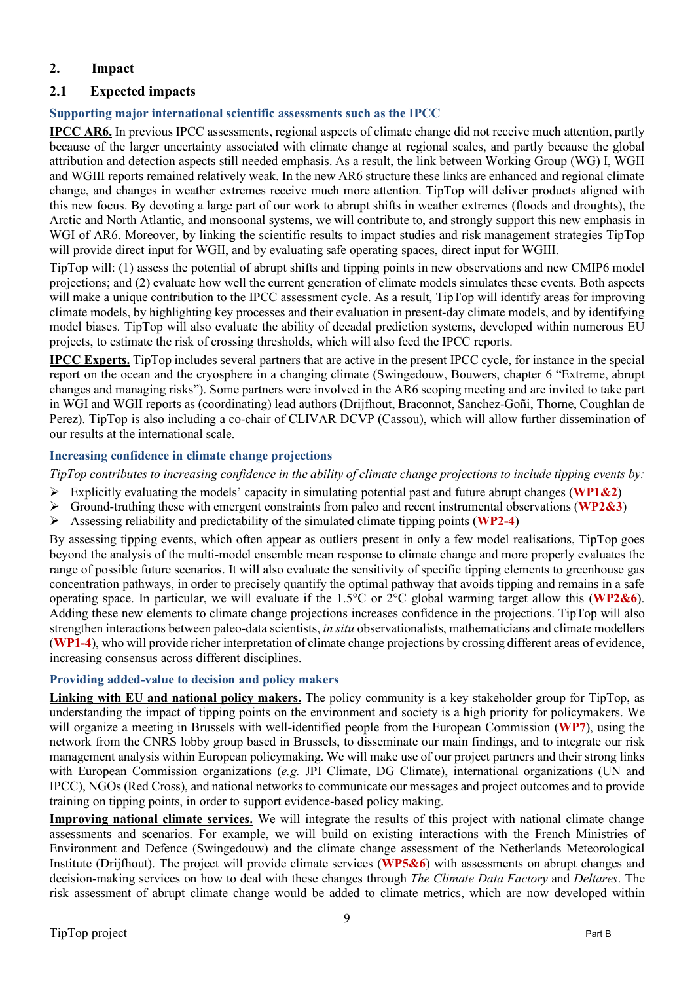# **2. Impact**

# **2.1 Expected impacts**

# **Supporting major international scientific assessments such as the IPCC**

**IPCC AR6.** In previous IPCC assessments, regional aspects of climate change did not receive much attention, partly because of the larger uncertainty associated with climate change at regional scales, and partly because the global attribution and detection aspects still needed emphasis. As a result, the link between Working Group (WG) I, WGII and WGIII reports remained relatively weak. In the new AR6 structure these links are enhanced and regional climate change, and changes in weather extremes receive much more attention. TipTop will deliver products aligned with this new focus. By devoting a large part of our work to abrupt shifts in weather extremes (floods and droughts), the Arctic and North Atlantic, and monsoonal systems, we will contribute to, and strongly support this new emphasis in WGI of AR6. Moreover, by linking the scientific results to impact studies and risk management strategies TipTop will provide direct input for WGII, and by evaluating safe operating spaces, direct input for WGIII.

TipTop will: (1) assess the potential of abrupt shifts and tipping points in new observations and new CMIP6 model projections; and (2) evaluate how well the current generation of climate models simulates these events. Both aspects will make a unique contribution to the IPCC assessment cycle. As a result, TipTop will identify areas for improving climate models, by highlighting key processes and their evaluation in present-day climate models, and by identifying model biases. TipTop will also evaluate the ability of decadal prediction systems, developed within numerous EU projects, to estimate the risk of crossing thresholds, which will also feed the IPCC reports.

**IPCC Experts.** TipTop includes several partners that are active in the present IPCC cycle, for instance in the special report on the ocean and the cryosphere in a changing climate (Swingedouw, Bouwers, chapter 6 "Extreme, abrupt changes and managing risks"). Some partners were involved in the AR6 scoping meeting and are invited to take part in WGI and WGII reports as (coordinating) lead authors (Drijfhout, Braconnot, Sanchez-Goñi, Thorne, Coughlan de Perez). TipTop is also including a co-chair of CLIVAR DCVP (Cassou), which will allow further dissemination of our results at the international scale.

# **Increasing confidence in climate change projections**

*TipTop contributes to increasing confidence in the ability of climate change projections to include tipping events by:*

- Ø Explicitly evaluating the models' capacity in simulating potential past and future abrupt changes (**WP1&2**)
- Ø Ground-truthing these with emergent constraints from paleo and recent instrumental observations (**WP2&3**)
- Ø Assessing reliability and predictability of the simulated climate tipping points (**WP2-4**)

By assessing tipping events, which often appear as outliers present in only a few model realisations, TipTop goes beyond the analysis of the multi-model ensemble mean response to climate change and more properly evaluates the range of possible future scenarios. It will also evaluate the sensitivity of specific tipping elements to greenhouse gas concentration pathways, in order to precisely quantify the optimal pathway that avoids tipping and remains in a safe operating space. In particular, we will evaluate if the 1.5°C or 2°C global warming target allow this (**WP2&6**). Adding these new elements to climate change projections increases confidence in the projections. TipTop will also strengthen interactions between paleo-data scientists, *in situ* observationalists, mathematicians and climate modellers (**WP1-4**), who will provide richer interpretation of climate change projections by crossing different areas of evidence, increasing consensus across different disciplines.

# **Providing added-value to decision and policy makers**

**Linking with EU and national policy makers.** The policy community is a key stakeholder group for TipTop, as understanding the impact of tipping points on the environment and society is a high priority for policymakers. We will organize a meeting in Brussels with well-identified people from the European Commission (**WP7**), using the network from the CNRS lobby group based in Brussels, to disseminate our main findings, and to integrate our risk management analysis within European policymaking. We will make use of our project partners and their strong links with European Commission organizations (*e.g.* JPI Climate, DG Climate), international organizations (UN and IPCC), NGOs (Red Cross), and national networks to communicate our messages and project outcomes and to provide training on tipping points, in order to support evidence-based policy making.

**Improving national climate services.** We will integrate the results of this project with national climate change assessments and scenarios. For example, we will build on existing interactions with the French Ministries of Environment and Defence (Swingedouw) and the climate change assessment of the Netherlands Meteorological Institute (Drijfhout). The project will provide climate services (**WP5&6**) with assessments on abrupt changes and decision-making services on how to deal with these changes through *The Climate Data Factory* and *Deltares*. The risk assessment of abrupt climate change would be added to climate metrics, which are now developed within